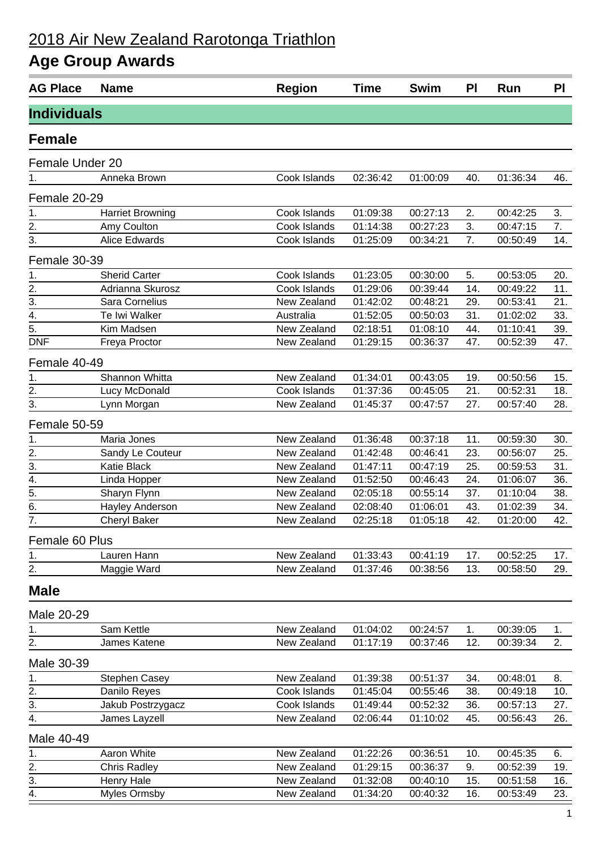## 2018 Air New Zealand Rarotonga Triathlon

## **Age Group Awards**

| <b>Individuals</b><br><b>Female</b><br>Female Under 20<br>Cook Islands<br>02:36:42<br>Anneka Brown<br>01:00:09<br>40.<br>01:36:34<br>46.<br>1.<br>Female 20-29<br>Cook Islands<br>01:09:38<br>00:27:13<br>2.<br>3.<br><b>Harriet Browning</b><br>00:42:25<br>1.<br>$\overline{2}$ .<br>01:14:38<br>3.<br>7.<br>Amy Coulton<br>Cook Islands<br>00:27:23<br>00:47:15<br>$\overline{3}$ .<br>14.<br>Alice Edwards<br>01:25:09<br>7.<br>Cook Islands<br>00:34:21<br>00:50:49<br>Female 30-39<br>5.<br>1.<br><b>Sherid Carter</b><br>Cook Islands<br>01:23:05<br>00:30:00<br>00:53:05<br>20.<br>$\frac{1}{2}$<br>$\frac{2}{3}$<br>11.<br>01:29:06<br>14.<br>Adrianna Skurosz<br>Cook Islands<br>00:39:44<br>00:49:22<br>New Zealand<br>Sara Cornelius<br>01:42:02<br>29.<br>21.<br>00:48:21<br>00:53:41<br>$\overline{4}$ .<br>Te Iwi Walker<br>33.<br>Australia<br>01:52:05<br>00:50:03<br>31.<br>01:02:02<br>$\overline{5}$ .<br>Kim Madsen<br>New Zealand<br>02:18:51<br>01:10:41<br>39.<br>01:08:10<br>44.<br><b>DNF</b><br>New Zealand<br>01:29:15<br>00:36:37<br>47.<br>00:52:39<br>47.<br>Freya Proctor<br>Female 40-49<br>$\mathbf 1$ .<br>Shannon Whitta<br>New Zealand<br>01:34:01<br>00:43:05<br>00:50:56<br>19.<br>15.<br>$\overline{2}$ .<br>Lucy McDonald<br>01:37:36<br>21.<br>Cook Islands<br>00:45:05<br>00:52:31<br>18.<br>$\overline{3}$ .<br>New Zealand<br>01:45:37<br>00:47:57<br>27.<br>28.<br>Lynn Morgan<br>00:57:40<br>Female 50-59<br>1.<br>New Zealand<br>01:36:48<br>Maria Jones<br>00:37:18<br>11.<br>00:59:30<br>30.<br>$\overline{2}$ .<br>New Zealand<br>01:42:48<br>00:46:41<br>23.<br>00:56:07<br>25.<br>Sandy Le Couteur<br>$\overline{3}$ .<br><b>Katie Black</b><br>New Zealand<br>01:47:11<br>00:47:19<br>25.<br>00:59:53<br>31.<br>$\overline{4}$ .<br>01:52:50<br>00:46:43<br>36.<br>Linda Hopper<br>New Zealand<br>24.<br>01:06:07<br>$\overline{5}$ .<br>02:05:18<br>00:55:14<br>37.<br>Sharyn Flynn<br>New Zealand<br>01:10:04<br>38.<br>$rac{6}{7}$<br>New Zealand<br>02:08:40<br>01:06:01<br>43.<br>01:02:39<br>34.<br>Hayley Anderson<br>42.<br>42.<br><b>Cheryl Baker</b><br>New Zealand<br>02:25:18<br>01:05:18<br>01:20:00<br>Female 60 Plus<br>New Zealand<br>1.<br>Lauren Hann<br>01:33:43<br>00:41:19<br>00:52:25<br>17.<br>17.<br>2.<br>Maggie Ward<br>New Zealand<br>01:37:46<br>00:38:56<br>13.<br>00:58:50<br>29.<br><b>Male</b><br>Male 20-29<br>New Zealand<br>Sam Kettle<br>01:04:02<br>00:24:57<br>00:39:05<br>1.<br>1.<br>1.<br>2.<br>2.<br>James Katene<br>New Zealand<br>01:17:19<br>00:37:46<br>12.<br>00:39:34<br>Male 30-39<br>New Zealand<br><b>Stephen Casey</b><br>01:39:38<br>00:51:37<br>00:48:01<br>1.<br>34.<br>8.<br>2.<br>Danilo Reyes<br>Cook Islands<br>01:45:04<br>00:55:46<br>38.<br>00:49:18<br>10.<br>3.<br>36.<br>Jakub Postrzygacz<br>Cook Islands<br>01:49:44<br>00:52:32<br>00:57:13<br>27.<br>$\overline{4}$ .<br>New Zealand<br>James Layzell<br>02:06:44<br>01:10:02<br>45.<br>00:56:43<br>26.<br>Male 40-49<br>Aaron White<br>New Zealand<br>01:22:26<br>00:36:51<br>10.<br>6.<br>1.<br>00:45:35<br>2.<br>New Zealand<br>01:29:15<br><b>Chris Radley</b><br>00:36:37<br>9.<br>00:52:39<br>19.<br>$\frac{3}{4}$<br>New Zealand<br>Henry Hale<br>01:32:08<br>00:40:10<br>00:51:58<br>16.<br>15. | <b>AG Place</b> | <b>Name</b>         | <b>Region</b> | <b>Time</b> | <b>Swim</b> | PI  | <b>Run</b> | <b>PI</b> |
|------------------------------------------------------------------------------------------------------------------------------------------------------------------------------------------------------------------------------------------------------------------------------------------------------------------------------------------------------------------------------------------------------------------------------------------------------------------------------------------------------------------------------------------------------------------------------------------------------------------------------------------------------------------------------------------------------------------------------------------------------------------------------------------------------------------------------------------------------------------------------------------------------------------------------------------------------------------------------------------------------------------------------------------------------------------------------------------------------------------------------------------------------------------------------------------------------------------------------------------------------------------------------------------------------------------------------------------------------------------------------------------------------------------------------------------------------------------------------------------------------------------------------------------------------------------------------------------------------------------------------------------------------------------------------------------------------------------------------------------------------------------------------------------------------------------------------------------------------------------------------------------------------------------------------------------------------------------------------------------------------------------------------------------------------------------------------------------------------------------------------------------------------------------------------------------------------------------------------------------------------------------------------------------------------------------------------------------------------------------------------------------------------------------------------------------------------------------------------------------------------------------------------------------------------------------------------------------------------------------------------------------------------------------------------------------------------------------------------------------------------------------------------------------------------------------------------------------------------------------------------------------------------------------------------------------------------------------------------------------------------------------------------------------------------------------------------------------------------------------------------------------------------------------------------------------------------------------------------------------------------------------------------------|-----------------|---------------------|---------------|-------------|-------------|-----|------------|-----------|
|                                                                                                                                                                                                                                                                                                                                                                                                                                                                                                                                                                                                                                                                                                                                                                                                                                                                                                                                                                                                                                                                                                                                                                                                                                                                                                                                                                                                                                                                                                                                                                                                                                                                                                                                                                                                                                                                                                                                                                                                                                                                                                                                                                                                                                                                                                                                                                                                                                                                                                                                                                                                                                                                                                                                                                                                                                                                                                                                                                                                                                                                                                                                                                                                                                                                                    |                 |                     |               |             |             |     |            |           |
|                                                                                                                                                                                                                                                                                                                                                                                                                                                                                                                                                                                                                                                                                                                                                                                                                                                                                                                                                                                                                                                                                                                                                                                                                                                                                                                                                                                                                                                                                                                                                                                                                                                                                                                                                                                                                                                                                                                                                                                                                                                                                                                                                                                                                                                                                                                                                                                                                                                                                                                                                                                                                                                                                                                                                                                                                                                                                                                                                                                                                                                                                                                                                                                                                                                                                    |                 |                     |               |             |             |     |            |           |
|                                                                                                                                                                                                                                                                                                                                                                                                                                                                                                                                                                                                                                                                                                                                                                                                                                                                                                                                                                                                                                                                                                                                                                                                                                                                                                                                                                                                                                                                                                                                                                                                                                                                                                                                                                                                                                                                                                                                                                                                                                                                                                                                                                                                                                                                                                                                                                                                                                                                                                                                                                                                                                                                                                                                                                                                                                                                                                                                                                                                                                                                                                                                                                                                                                                                                    |                 |                     |               |             |             |     |            |           |
|                                                                                                                                                                                                                                                                                                                                                                                                                                                                                                                                                                                                                                                                                                                                                                                                                                                                                                                                                                                                                                                                                                                                                                                                                                                                                                                                                                                                                                                                                                                                                                                                                                                                                                                                                                                                                                                                                                                                                                                                                                                                                                                                                                                                                                                                                                                                                                                                                                                                                                                                                                                                                                                                                                                                                                                                                                                                                                                                                                                                                                                                                                                                                                                                                                                                                    |                 |                     |               |             |             |     |            |           |
|                                                                                                                                                                                                                                                                                                                                                                                                                                                                                                                                                                                                                                                                                                                                                                                                                                                                                                                                                                                                                                                                                                                                                                                                                                                                                                                                                                                                                                                                                                                                                                                                                                                                                                                                                                                                                                                                                                                                                                                                                                                                                                                                                                                                                                                                                                                                                                                                                                                                                                                                                                                                                                                                                                                                                                                                                                                                                                                                                                                                                                                                                                                                                                                                                                                                                    |                 |                     |               |             |             |     |            |           |
|                                                                                                                                                                                                                                                                                                                                                                                                                                                                                                                                                                                                                                                                                                                                                                                                                                                                                                                                                                                                                                                                                                                                                                                                                                                                                                                                                                                                                                                                                                                                                                                                                                                                                                                                                                                                                                                                                                                                                                                                                                                                                                                                                                                                                                                                                                                                                                                                                                                                                                                                                                                                                                                                                                                                                                                                                                                                                                                                                                                                                                                                                                                                                                                                                                                                                    |                 |                     |               |             |             |     |            |           |
|                                                                                                                                                                                                                                                                                                                                                                                                                                                                                                                                                                                                                                                                                                                                                                                                                                                                                                                                                                                                                                                                                                                                                                                                                                                                                                                                                                                                                                                                                                                                                                                                                                                                                                                                                                                                                                                                                                                                                                                                                                                                                                                                                                                                                                                                                                                                                                                                                                                                                                                                                                                                                                                                                                                                                                                                                                                                                                                                                                                                                                                                                                                                                                                                                                                                                    |                 |                     |               |             |             |     |            |           |
|                                                                                                                                                                                                                                                                                                                                                                                                                                                                                                                                                                                                                                                                                                                                                                                                                                                                                                                                                                                                                                                                                                                                                                                                                                                                                                                                                                                                                                                                                                                                                                                                                                                                                                                                                                                                                                                                                                                                                                                                                                                                                                                                                                                                                                                                                                                                                                                                                                                                                                                                                                                                                                                                                                                                                                                                                                                                                                                                                                                                                                                                                                                                                                                                                                                                                    |                 |                     |               |             |             |     |            |           |
|                                                                                                                                                                                                                                                                                                                                                                                                                                                                                                                                                                                                                                                                                                                                                                                                                                                                                                                                                                                                                                                                                                                                                                                                                                                                                                                                                                                                                                                                                                                                                                                                                                                                                                                                                                                                                                                                                                                                                                                                                                                                                                                                                                                                                                                                                                                                                                                                                                                                                                                                                                                                                                                                                                                                                                                                                                                                                                                                                                                                                                                                                                                                                                                                                                                                                    |                 |                     |               |             |             |     |            |           |
|                                                                                                                                                                                                                                                                                                                                                                                                                                                                                                                                                                                                                                                                                                                                                                                                                                                                                                                                                                                                                                                                                                                                                                                                                                                                                                                                                                                                                                                                                                                                                                                                                                                                                                                                                                                                                                                                                                                                                                                                                                                                                                                                                                                                                                                                                                                                                                                                                                                                                                                                                                                                                                                                                                                                                                                                                                                                                                                                                                                                                                                                                                                                                                                                                                                                                    |                 |                     |               |             |             |     |            |           |
|                                                                                                                                                                                                                                                                                                                                                                                                                                                                                                                                                                                                                                                                                                                                                                                                                                                                                                                                                                                                                                                                                                                                                                                                                                                                                                                                                                                                                                                                                                                                                                                                                                                                                                                                                                                                                                                                                                                                                                                                                                                                                                                                                                                                                                                                                                                                                                                                                                                                                                                                                                                                                                                                                                                                                                                                                                                                                                                                                                                                                                                                                                                                                                                                                                                                                    |                 |                     |               |             |             |     |            |           |
|                                                                                                                                                                                                                                                                                                                                                                                                                                                                                                                                                                                                                                                                                                                                                                                                                                                                                                                                                                                                                                                                                                                                                                                                                                                                                                                                                                                                                                                                                                                                                                                                                                                                                                                                                                                                                                                                                                                                                                                                                                                                                                                                                                                                                                                                                                                                                                                                                                                                                                                                                                                                                                                                                                                                                                                                                                                                                                                                                                                                                                                                                                                                                                                                                                                                                    |                 |                     |               |             |             |     |            |           |
|                                                                                                                                                                                                                                                                                                                                                                                                                                                                                                                                                                                                                                                                                                                                                                                                                                                                                                                                                                                                                                                                                                                                                                                                                                                                                                                                                                                                                                                                                                                                                                                                                                                                                                                                                                                                                                                                                                                                                                                                                                                                                                                                                                                                                                                                                                                                                                                                                                                                                                                                                                                                                                                                                                                                                                                                                                                                                                                                                                                                                                                                                                                                                                                                                                                                                    |                 |                     |               |             |             |     |            |           |
|                                                                                                                                                                                                                                                                                                                                                                                                                                                                                                                                                                                                                                                                                                                                                                                                                                                                                                                                                                                                                                                                                                                                                                                                                                                                                                                                                                                                                                                                                                                                                                                                                                                                                                                                                                                                                                                                                                                                                                                                                                                                                                                                                                                                                                                                                                                                                                                                                                                                                                                                                                                                                                                                                                                                                                                                                                                                                                                                                                                                                                                                                                                                                                                                                                                                                    |                 |                     |               |             |             |     |            |           |
|                                                                                                                                                                                                                                                                                                                                                                                                                                                                                                                                                                                                                                                                                                                                                                                                                                                                                                                                                                                                                                                                                                                                                                                                                                                                                                                                                                                                                                                                                                                                                                                                                                                                                                                                                                                                                                                                                                                                                                                                                                                                                                                                                                                                                                                                                                                                                                                                                                                                                                                                                                                                                                                                                                                                                                                                                                                                                                                                                                                                                                                                                                                                                                                                                                                                                    |                 |                     |               |             |             |     |            |           |
|                                                                                                                                                                                                                                                                                                                                                                                                                                                                                                                                                                                                                                                                                                                                                                                                                                                                                                                                                                                                                                                                                                                                                                                                                                                                                                                                                                                                                                                                                                                                                                                                                                                                                                                                                                                                                                                                                                                                                                                                                                                                                                                                                                                                                                                                                                                                                                                                                                                                                                                                                                                                                                                                                                                                                                                                                                                                                                                                                                                                                                                                                                                                                                                                                                                                                    |                 |                     |               |             |             |     |            |           |
|                                                                                                                                                                                                                                                                                                                                                                                                                                                                                                                                                                                                                                                                                                                                                                                                                                                                                                                                                                                                                                                                                                                                                                                                                                                                                                                                                                                                                                                                                                                                                                                                                                                                                                                                                                                                                                                                                                                                                                                                                                                                                                                                                                                                                                                                                                                                                                                                                                                                                                                                                                                                                                                                                                                                                                                                                                                                                                                                                                                                                                                                                                                                                                                                                                                                                    |                 |                     |               |             |             |     |            |           |
|                                                                                                                                                                                                                                                                                                                                                                                                                                                                                                                                                                                                                                                                                                                                                                                                                                                                                                                                                                                                                                                                                                                                                                                                                                                                                                                                                                                                                                                                                                                                                                                                                                                                                                                                                                                                                                                                                                                                                                                                                                                                                                                                                                                                                                                                                                                                                                                                                                                                                                                                                                                                                                                                                                                                                                                                                                                                                                                                                                                                                                                                                                                                                                                                                                                                                    |                 |                     |               |             |             |     |            |           |
|                                                                                                                                                                                                                                                                                                                                                                                                                                                                                                                                                                                                                                                                                                                                                                                                                                                                                                                                                                                                                                                                                                                                                                                                                                                                                                                                                                                                                                                                                                                                                                                                                                                                                                                                                                                                                                                                                                                                                                                                                                                                                                                                                                                                                                                                                                                                                                                                                                                                                                                                                                                                                                                                                                                                                                                                                                                                                                                                                                                                                                                                                                                                                                                                                                                                                    |                 |                     |               |             |             |     |            |           |
|                                                                                                                                                                                                                                                                                                                                                                                                                                                                                                                                                                                                                                                                                                                                                                                                                                                                                                                                                                                                                                                                                                                                                                                                                                                                                                                                                                                                                                                                                                                                                                                                                                                                                                                                                                                                                                                                                                                                                                                                                                                                                                                                                                                                                                                                                                                                                                                                                                                                                                                                                                                                                                                                                                                                                                                                                                                                                                                                                                                                                                                                                                                                                                                                                                                                                    |                 |                     |               |             |             |     |            |           |
|                                                                                                                                                                                                                                                                                                                                                                                                                                                                                                                                                                                                                                                                                                                                                                                                                                                                                                                                                                                                                                                                                                                                                                                                                                                                                                                                                                                                                                                                                                                                                                                                                                                                                                                                                                                                                                                                                                                                                                                                                                                                                                                                                                                                                                                                                                                                                                                                                                                                                                                                                                                                                                                                                                                                                                                                                                                                                                                                                                                                                                                                                                                                                                                                                                                                                    |                 |                     |               |             |             |     |            |           |
|                                                                                                                                                                                                                                                                                                                                                                                                                                                                                                                                                                                                                                                                                                                                                                                                                                                                                                                                                                                                                                                                                                                                                                                                                                                                                                                                                                                                                                                                                                                                                                                                                                                                                                                                                                                                                                                                                                                                                                                                                                                                                                                                                                                                                                                                                                                                                                                                                                                                                                                                                                                                                                                                                                                                                                                                                                                                                                                                                                                                                                                                                                                                                                                                                                                                                    |                 |                     |               |             |             |     |            |           |
|                                                                                                                                                                                                                                                                                                                                                                                                                                                                                                                                                                                                                                                                                                                                                                                                                                                                                                                                                                                                                                                                                                                                                                                                                                                                                                                                                                                                                                                                                                                                                                                                                                                                                                                                                                                                                                                                                                                                                                                                                                                                                                                                                                                                                                                                                                                                                                                                                                                                                                                                                                                                                                                                                                                                                                                                                                                                                                                                                                                                                                                                                                                                                                                                                                                                                    |                 |                     |               |             |             |     |            |           |
|                                                                                                                                                                                                                                                                                                                                                                                                                                                                                                                                                                                                                                                                                                                                                                                                                                                                                                                                                                                                                                                                                                                                                                                                                                                                                                                                                                                                                                                                                                                                                                                                                                                                                                                                                                                                                                                                                                                                                                                                                                                                                                                                                                                                                                                                                                                                                                                                                                                                                                                                                                                                                                                                                                                                                                                                                                                                                                                                                                                                                                                                                                                                                                                                                                                                                    |                 |                     |               |             |             |     |            |           |
|                                                                                                                                                                                                                                                                                                                                                                                                                                                                                                                                                                                                                                                                                                                                                                                                                                                                                                                                                                                                                                                                                                                                                                                                                                                                                                                                                                                                                                                                                                                                                                                                                                                                                                                                                                                                                                                                                                                                                                                                                                                                                                                                                                                                                                                                                                                                                                                                                                                                                                                                                                                                                                                                                                                                                                                                                                                                                                                                                                                                                                                                                                                                                                                                                                                                                    |                 |                     |               |             |             |     |            |           |
|                                                                                                                                                                                                                                                                                                                                                                                                                                                                                                                                                                                                                                                                                                                                                                                                                                                                                                                                                                                                                                                                                                                                                                                                                                                                                                                                                                                                                                                                                                                                                                                                                                                                                                                                                                                                                                                                                                                                                                                                                                                                                                                                                                                                                                                                                                                                                                                                                                                                                                                                                                                                                                                                                                                                                                                                                                                                                                                                                                                                                                                                                                                                                                                                                                                                                    |                 |                     |               |             |             |     |            |           |
|                                                                                                                                                                                                                                                                                                                                                                                                                                                                                                                                                                                                                                                                                                                                                                                                                                                                                                                                                                                                                                                                                                                                                                                                                                                                                                                                                                                                                                                                                                                                                                                                                                                                                                                                                                                                                                                                                                                                                                                                                                                                                                                                                                                                                                                                                                                                                                                                                                                                                                                                                                                                                                                                                                                                                                                                                                                                                                                                                                                                                                                                                                                                                                                                                                                                                    |                 |                     |               |             |             |     |            |           |
|                                                                                                                                                                                                                                                                                                                                                                                                                                                                                                                                                                                                                                                                                                                                                                                                                                                                                                                                                                                                                                                                                                                                                                                                                                                                                                                                                                                                                                                                                                                                                                                                                                                                                                                                                                                                                                                                                                                                                                                                                                                                                                                                                                                                                                                                                                                                                                                                                                                                                                                                                                                                                                                                                                                                                                                                                                                                                                                                                                                                                                                                                                                                                                                                                                                                                    |                 |                     |               |             |             |     |            |           |
|                                                                                                                                                                                                                                                                                                                                                                                                                                                                                                                                                                                                                                                                                                                                                                                                                                                                                                                                                                                                                                                                                                                                                                                                                                                                                                                                                                                                                                                                                                                                                                                                                                                                                                                                                                                                                                                                                                                                                                                                                                                                                                                                                                                                                                                                                                                                                                                                                                                                                                                                                                                                                                                                                                                                                                                                                                                                                                                                                                                                                                                                                                                                                                                                                                                                                    |                 |                     |               |             |             |     |            |           |
|                                                                                                                                                                                                                                                                                                                                                                                                                                                                                                                                                                                                                                                                                                                                                                                                                                                                                                                                                                                                                                                                                                                                                                                                                                                                                                                                                                                                                                                                                                                                                                                                                                                                                                                                                                                                                                                                                                                                                                                                                                                                                                                                                                                                                                                                                                                                                                                                                                                                                                                                                                                                                                                                                                                                                                                                                                                                                                                                                                                                                                                                                                                                                                                                                                                                                    |                 |                     |               |             |             |     |            |           |
|                                                                                                                                                                                                                                                                                                                                                                                                                                                                                                                                                                                                                                                                                                                                                                                                                                                                                                                                                                                                                                                                                                                                                                                                                                                                                                                                                                                                                                                                                                                                                                                                                                                                                                                                                                                                                                                                                                                                                                                                                                                                                                                                                                                                                                                                                                                                                                                                                                                                                                                                                                                                                                                                                                                                                                                                                                                                                                                                                                                                                                                                                                                                                                                                                                                                                    |                 |                     |               |             |             |     |            |           |
|                                                                                                                                                                                                                                                                                                                                                                                                                                                                                                                                                                                                                                                                                                                                                                                                                                                                                                                                                                                                                                                                                                                                                                                                                                                                                                                                                                                                                                                                                                                                                                                                                                                                                                                                                                                                                                                                                                                                                                                                                                                                                                                                                                                                                                                                                                                                                                                                                                                                                                                                                                                                                                                                                                                                                                                                                                                                                                                                                                                                                                                                                                                                                                                                                                                                                    |                 |                     |               |             |             |     |            |           |
|                                                                                                                                                                                                                                                                                                                                                                                                                                                                                                                                                                                                                                                                                                                                                                                                                                                                                                                                                                                                                                                                                                                                                                                                                                                                                                                                                                                                                                                                                                                                                                                                                                                                                                                                                                                                                                                                                                                                                                                                                                                                                                                                                                                                                                                                                                                                                                                                                                                                                                                                                                                                                                                                                                                                                                                                                                                                                                                                                                                                                                                                                                                                                                                                                                                                                    |                 |                     |               |             |             |     |            |           |
|                                                                                                                                                                                                                                                                                                                                                                                                                                                                                                                                                                                                                                                                                                                                                                                                                                                                                                                                                                                                                                                                                                                                                                                                                                                                                                                                                                                                                                                                                                                                                                                                                                                                                                                                                                                                                                                                                                                                                                                                                                                                                                                                                                                                                                                                                                                                                                                                                                                                                                                                                                                                                                                                                                                                                                                                                                                                                                                                                                                                                                                                                                                                                                                                                                                                                    |                 |                     |               |             |             |     |            |           |
|                                                                                                                                                                                                                                                                                                                                                                                                                                                                                                                                                                                                                                                                                                                                                                                                                                                                                                                                                                                                                                                                                                                                                                                                                                                                                                                                                                                                                                                                                                                                                                                                                                                                                                                                                                                                                                                                                                                                                                                                                                                                                                                                                                                                                                                                                                                                                                                                                                                                                                                                                                                                                                                                                                                                                                                                                                                                                                                                                                                                                                                                                                                                                                                                                                                                                    |                 |                     |               |             |             |     |            |           |
|                                                                                                                                                                                                                                                                                                                                                                                                                                                                                                                                                                                                                                                                                                                                                                                                                                                                                                                                                                                                                                                                                                                                                                                                                                                                                                                                                                                                                                                                                                                                                                                                                                                                                                                                                                                                                                                                                                                                                                                                                                                                                                                                                                                                                                                                                                                                                                                                                                                                                                                                                                                                                                                                                                                                                                                                                                                                                                                                                                                                                                                                                                                                                                                                                                                                                    |                 |                     |               |             |             |     |            |           |
|                                                                                                                                                                                                                                                                                                                                                                                                                                                                                                                                                                                                                                                                                                                                                                                                                                                                                                                                                                                                                                                                                                                                                                                                                                                                                                                                                                                                                                                                                                                                                                                                                                                                                                                                                                                                                                                                                                                                                                                                                                                                                                                                                                                                                                                                                                                                                                                                                                                                                                                                                                                                                                                                                                                                                                                                                                                                                                                                                                                                                                                                                                                                                                                                                                                                                    |                 |                     |               |             |             |     |            |           |
|                                                                                                                                                                                                                                                                                                                                                                                                                                                                                                                                                                                                                                                                                                                                                                                                                                                                                                                                                                                                                                                                                                                                                                                                                                                                                                                                                                                                                                                                                                                                                                                                                                                                                                                                                                                                                                                                                                                                                                                                                                                                                                                                                                                                                                                                                                                                                                                                                                                                                                                                                                                                                                                                                                                                                                                                                                                                                                                                                                                                                                                                                                                                                                                                                                                                                    |                 |                     |               |             |             |     |            |           |
|                                                                                                                                                                                                                                                                                                                                                                                                                                                                                                                                                                                                                                                                                                                                                                                                                                                                                                                                                                                                                                                                                                                                                                                                                                                                                                                                                                                                                                                                                                                                                                                                                                                                                                                                                                                                                                                                                                                                                                                                                                                                                                                                                                                                                                                                                                                                                                                                                                                                                                                                                                                                                                                                                                                                                                                                                                                                                                                                                                                                                                                                                                                                                                                                                                                                                    |                 |                     |               |             |             |     |            |           |
|                                                                                                                                                                                                                                                                                                                                                                                                                                                                                                                                                                                                                                                                                                                                                                                                                                                                                                                                                                                                                                                                                                                                                                                                                                                                                                                                                                                                                                                                                                                                                                                                                                                                                                                                                                                                                                                                                                                                                                                                                                                                                                                                                                                                                                                                                                                                                                                                                                                                                                                                                                                                                                                                                                                                                                                                                                                                                                                                                                                                                                                                                                                                                                                                                                                                                    |                 |                     |               |             |             |     |            |           |
|                                                                                                                                                                                                                                                                                                                                                                                                                                                                                                                                                                                                                                                                                                                                                                                                                                                                                                                                                                                                                                                                                                                                                                                                                                                                                                                                                                                                                                                                                                                                                                                                                                                                                                                                                                                                                                                                                                                                                                                                                                                                                                                                                                                                                                                                                                                                                                                                                                                                                                                                                                                                                                                                                                                                                                                                                                                                                                                                                                                                                                                                                                                                                                                                                                                                                    |                 |                     |               |             |             |     |            |           |
|                                                                                                                                                                                                                                                                                                                                                                                                                                                                                                                                                                                                                                                                                                                                                                                                                                                                                                                                                                                                                                                                                                                                                                                                                                                                                                                                                                                                                                                                                                                                                                                                                                                                                                                                                                                                                                                                                                                                                                                                                                                                                                                                                                                                                                                                                                                                                                                                                                                                                                                                                                                                                                                                                                                                                                                                                                                                                                                                                                                                                                                                                                                                                                                                                                                                                    |                 |                     |               |             |             |     |            |           |
|                                                                                                                                                                                                                                                                                                                                                                                                                                                                                                                                                                                                                                                                                                                                                                                                                                                                                                                                                                                                                                                                                                                                                                                                                                                                                                                                                                                                                                                                                                                                                                                                                                                                                                                                                                                                                                                                                                                                                                                                                                                                                                                                                                                                                                                                                                                                                                                                                                                                                                                                                                                                                                                                                                                                                                                                                                                                                                                                                                                                                                                                                                                                                                                                                                                                                    |                 |                     |               |             |             |     |            |           |
|                                                                                                                                                                                                                                                                                                                                                                                                                                                                                                                                                                                                                                                                                                                                                                                                                                                                                                                                                                                                                                                                                                                                                                                                                                                                                                                                                                                                                                                                                                                                                                                                                                                                                                                                                                                                                                                                                                                                                                                                                                                                                                                                                                                                                                                                                                                                                                                                                                                                                                                                                                                                                                                                                                                                                                                                                                                                                                                                                                                                                                                                                                                                                                                                                                                                                    |                 | <b>Myles Ormsby</b> | New Zealand   | 01:34:20    | 00:40:32    | 16. | 00:53:49   | 23.       |